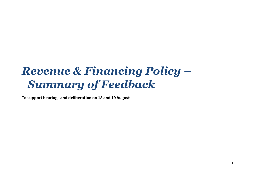# *Revenue & Financing Policy – Summary of Feedback*

**To support hearings and deliberation on 18 and 19 August**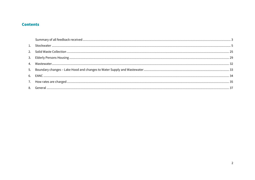#### **Contents**

<span id="page-1-0"></span>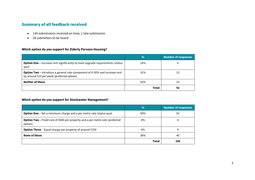# Summary of all feedback received

- 134 submissions received on time, 1 late submission
- 28 submitters to be heard

#### **Which option do you support for Elderly Persons Housing?**

|                                                                                                                                 | $\frac{0}{0}$ | <b>Number of responses</b> |
|---------------------------------------------------------------------------------------------------------------------------------|---------------|----------------------------|
| <b>Option One -</b> Increase rent significantly to meet upgrade requirements (status<br>quo)                                    | 14%           | b                          |
| <b>Option Two - Introduce a general rate component of 0-30% and increase rent</b><br>by around \$10 per week (preferred option) | 31%           | 13                         |
| <b>Neither of these</b>                                                                                                         | 55%           | 23                         |
|                                                                                                                                 | Total         | 42                         |

#### **Which option do you support for Stockwater Management?**

|                                                                                                 | $\frac{0}{0}$ | <b>Number of responses</b> |
|-------------------------------------------------------------------------------------------------|---------------|----------------------------|
| <b>Option One -</b> Set a minimum charge and a per metre rate (status quo)                      | 50%           | 53                         |
| <b>Option Two - Fixed cost of \$600 per property and a per metre rate (preferred</b><br>option) | 8%            | 8                          |
| <b>Option Three</b> - Equal charge per property of around \$700                                 | 4%            |                            |
| None of these                                                                                   | 38%           | 40                         |
|                                                                                                 | Total         | 105                        |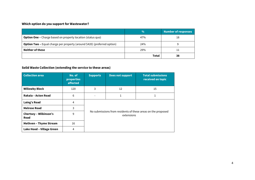## **Which option do you support for Wastewater?**

|                                                                                 | $\frac{0}{0}$ | <b>Number of responses</b> |
|---------------------------------------------------------------------------------|---------------|----------------------------|
| <b>Option One -</b> Charge based on property location (status quo)              | 47%           | 18                         |
| <b>Option Two -</b> Equal charge per property (around \$420) (preferred option) | 24%           |                            |
| Neither of these                                                                | 29%           |                            |
|                                                                                 | Total         | 38                         |

#### **Solid Waste Collection (extending the service to these areas)**

<span id="page-3-0"></span>

| <b>Collection area</b>                | No. of<br>properties<br>affected | <b>Supports</b>                                                            | <b>Does not support</b> | <b>Total submissions</b><br>received on topic |
|---------------------------------------|----------------------------------|----------------------------------------------------------------------------|-------------------------|-----------------------------------------------|
| <b>Willowby Block</b>                 | 120                              | 3                                                                          | 12                      | 15                                            |
| Rakaia - Acton Road                   | 6                                |                                                                            | 1                       | 1                                             |
| Laing's Road                          | 4                                |                                                                            |                         |                                               |
| <b>Melrose Road</b>                   | 3                                |                                                                            |                         |                                               |
| <b>Chertsey - Wilkinson's</b><br>Road | 9                                | No submissions from residents of these areas on the proposed<br>extensions |                         |                                               |
| <b>Methven - Thyme Stream</b>         | 16                               |                                                                            |                         |                                               |
| Lake Hood - Village Green             | 4                                |                                                                            |                         |                                               |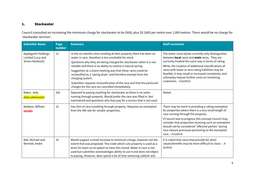#### 1. Stockwater

Council consulted on increasing the minimum charge for stockwater to be \$600, plus \$0.1665 per metre over 1,000 metres. There would be no charge for 'stockwater services'.

| <b>Submitter Name</b>                                       | Page<br>number | <b>Summary</b>                                                                                                                                                                                                                                                                                                                                                                                                                                                                                                                                         | <b>Staff comments</b>                                                                                                                                                                                                                                                                                                                                                                                    |
|-------------------------------------------------------------|----------------|--------------------------------------------------------------------------------------------------------------------------------------------------------------------------------------------------------------------------------------------------------------------------------------------------------------------------------------------------------------------------------------------------------------------------------------------------------------------------------------------------------------------------------------------------------|----------------------------------------------------------------------------------------------------------------------------------------------------------------------------------------------------------------------------------------------------------------------------------------------------------------------------------------------------------------------------------------------------------|
| Applegarth Holdings<br>Limited (Lucy and<br>Simon Raisbeck) | 12             | In the six months since residing at their property there has been no<br>water in race, therefore is too unreliable for stock.<br>Questions why they are being charged for stockwater when it is not<br>reliable and there is no ability to control a natural spring.<br>Suggestion at a Zoom meeting was that these races could be<br>reclassified as a 'spring drain' and therefore exempt from the<br>charging system.<br>Submitter requests reclassification of the race and that the particular<br>charges for the race are cancelled immediately. | The water races bylaw currently only distinguishes<br>between local races and main races. They are<br>currently treated the same way in terms of rating.<br>While, the creation of additional classifications of<br>races with lower or zero rating liabilities may be<br>feasible, it may result in increased complexity, and<br>ultimately impose further costs on remaining<br>customers. - A Guthrie |
| Baker, Jody<br>(late submission)                            | 242            | Opposed to paying anything for stockwater as there is no water<br>running through property. Would prefer the race was filled in. Not<br>maintained and questions why they pay for a service that is not used.                                                                                                                                                                                                                                                                                                                                          | Noted.                                                                                                                                                                                                                                                                                                                                                                                                   |
| Baldwin, William<br><b>HEARD</b>                            | 15             | Has 20m of race travelling through property. Requests an exemption<br>from the SW rate for smaller properties.                                                                                                                                                                                                                                                                                                                                                                                                                                         | There may be merit in providing a rating exemption<br>for properties where there is a very small length of<br>race running through the property.<br>If Council was to progress this concept Council may<br>consider that properties receiving such an exemption<br>should not be considered "affected parties" during<br>race closure processes pertaining to the exempted<br>race. - A Guthrie          |
| Ball, Michael and<br>Bennett, Andre                         | 19             | Would support a small increase to minimum charge, however not the<br>extent that was proposed. The creek which cuts property is used as a<br>drain for town so no option to have this closed. Water in race is not<br>used but submitter acknowledges ability to use it and does not object<br>to paying. However, does spend a lot of time removing rubbish and                                                                                                                                                                                       | It is noted that races that provide for other<br>values/benefits may be more difficult to close. - A<br>Guthrie                                                                                                                                                                                                                                                                                          |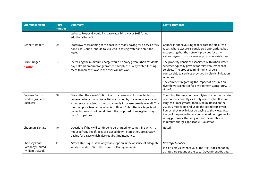| <b>Submitter Name</b>                                | Page<br>number | <b>Summary</b>                                                                                                                                                                                                                                                                                                                                                                            | <b>Staff comments</b>                                                                                                                                                                                                                                                                                                                                                                                                                    |
|------------------------------------------------------|----------------|-------------------------------------------------------------------------------------------------------------------------------------------------------------------------------------------------------------------------------------------------------------------------------------------------------------------------------------------------------------------------------------------|------------------------------------------------------------------------------------------------------------------------------------------------------------------------------------------------------------------------------------------------------------------------------------------------------------------------------------------------------------------------------------------------------------------------------------------|
|                                                      |                | upkeep. Proposal would increase rates bill by over 30% for no<br>additional benefit.                                                                                                                                                                                                                                                                                                      |                                                                                                                                                                                                                                                                                                                                                                                                                                          |
| Bennett, Robert                                      | 29             | States SW races a thing of the past with many paying for a service they<br>don't use. Council should take a lead in saving water and shut the<br>races.                                                                                                                                                                                                                                   | Council is endeavouring to facilitate the closures of<br>races, where closure is considered appropriate, but<br>recognising that the network provides for other<br>values beyond just stockwater provision. - A Guthrie                                                                                                                                                                                                                  |
| Bruce, Roger<br><b>HEARD</b>                         | 34             | Increasing the minimum charge would be crazy given urban residents<br>pay half this amount for guaranteed supply of quality water. Closing<br>races to increase flows in the river will not work.                                                                                                                                                                                         | The property densities associated with urban water<br>schemes typically provide for relatively lower cost<br>services. The proposed minimum charge is<br>comparable to services provided by district irrigation<br>schemes.                                                                                                                                                                                                              |
|                                                      |                |                                                                                                                                                                                                                                                                                                                                                                                           | The comment regarding the impact of closures on<br>river flows is a matter for Environment Canterbury. - A<br>Guthrie                                                                                                                                                                                                                                                                                                                    |
| <b>Burrows Farms</b><br>Limited (William<br>Burrows) | 38             | States that the aim of Option 2 is to increase cost for smaller farms,<br>however where many properties are owned by the same operator with<br>a moderate race length the cost actually increases greatly overall. This<br>has the opposite effect of what is outlined. Submitter is a large land<br>owner but would not benefit from the proposed change given they<br>own 8 properties. | The submitter may not be applying the per metre rate<br>component correctly as it only comes into effect for<br>lengths of race greater than 1,000m. Based on the<br>2018/19 modelling and using the submitters given<br>figures, they may in fact be paying slightly less. Also,<br>if any of the properties are considered contiguous for<br>rating purposes; that may reduce the number of<br>minimum charges applicable. - A Guthrie |
| Chapman, Donald                                      | 40             | Questions if they will continue to be charged for something which is<br>not used/required if races are closed down. States they are already<br>paying for a race which also requires maintenance.                                                                                                                                                                                         | Noted.                                                                                                                                                                                                                                                                                                                                                                                                                                   |
| Chertsey Land<br>Company Limited<br>(William McCook) | 41             | States status quo is the only viable option in the absence of adequate<br>analysis under s.32 of the Resource Management Act.                                                                                                                                                                                                                                                             | <b>Strategy &amp; Policy</b><br>It is officers view that s.32 of the RMA does not apply<br>as rates are set under the Local Government (Rating)                                                                                                                                                                                                                                                                                          |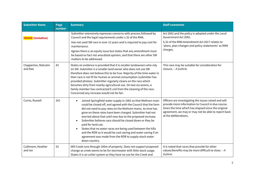| <b>Submitter Name</b>          | Page<br>number | <b>Summary</b>                                                                                                                                                                                                                                                                                                                                                                                                                                                                                                                                                                                                                                             | <b>Staff comments</b>                                                                                                                                                                                                                              |
|--------------------------------|----------------|------------------------------------------------------------------------------------------------------------------------------------------------------------------------------------------------------------------------------------------------------------------------------------------------------------------------------------------------------------------------------------------------------------------------------------------------------------------------------------------------------------------------------------------------------------------------------------------------------------------------------------------------------------|----------------------------------------------------------------------------------------------------------------------------------------------------------------------------------------------------------------------------------------------------|
| <b>HEARD</b> (tentative)       |                | Submitter extensively expresses concerns with process followed by<br>Council and the legal requirements under s.32 of the RMA.                                                                                                                                                                                                                                                                                                                                                                                                                                                                                                                             | Act 2002 and the policy is adopted under the Local<br>Government Act 2002.                                                                                                                                                                         |
|                                |                | Has not used SW race in over 12 years and is required to pay cost for<br>maintenance.                                                                                                                                                                                                                                                                                                                                                                                                                                                                                                                                                                      | S.32 of the RMA Amendment Act 2017 relates to<br>'plans, plan changes and policy statements' as RMA                                                                                                                                                |
|                                |                | Agrees there is an equity issue but states that any amendment must<br>be based on fact not anecdotal opinion, and that there are other SW<br>matters to be addressed.                                                                                                                                                                                                                                                                                                                                                                                                                                                                                      | charges.                                                                                                                                                                                                                                           |
| Clapperton, Malcolm<br>and Rae | 43             | States no evidence is provided that it is smaller landowners who rely<br>on SW. Submitter is a smaller land owner who does not use SW<br>therefore does not believe this to be true. Majority of the time water in<br>their race is not fit for human or animal consumption (submitter has<br>provided photos). Submitter regularly cleans on the race which<br>becomes dirty from nearby agricultural use. On two occasions, a<br>family member has contracted E.coli from the cleaning of the race.<br>Concerned any increase would not be fair.                                                                                                         | This race may be suitable for consideration for<br>closure. - A Guthrie.                                                                                                                                                                           |
| Currie, Russell                | 241            | Joined Springfield water supply in 1981 so that Methven main<br>$\bullet$<br>could be closed off, and agreed with the Council that the farm<br>did not need to pay rates on the Methven mains. As time has<br>gone on these rates have been charged. Submitter had not<br>worried about that until now due to the proposed increase.<br>Submitter believes race should be closed down or they be<br>$\bullet$<br>paid for land use.<br>States that no water races are being used between the hills<br>$\bullet$<br>and the RDR so it would be cost saving and water saving if an<br>agreement was made from the RDR to supply stock water<br>down country. | Officers are investigating the issues raised and will<br>provide more information to Council in due course.<br>Given the time which has elapsed since the original<br>agreement, we may or may not be able to report back<br>at the deliberations. |
| Cullimore, Heather<br>and lan  | 53             | Mill Creek runs through 100m of property. Does not support proposed<br>change as creek seems to be for stormwater with little stock usage.<br>States it is an unfair system as they have no use for the Creek and                                                                                                                                                                                                                                                                                                                                                                                                                                          | It is noted that races that provide for other<br>values/benefits may be more difficult to close. - A<br>Guthrie.                                                                                                                                   |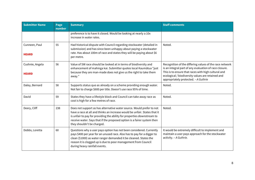| <b>Submitter Name</b>           | Page<br>number | <b>Summary</b>                                                                                                                                                                                                                                                                                                                         | <b>Staff comments</b>                                                                                                                                                                                                                                                 |
|---------------------------------|----------------|----------------------------------------------------------------------------------------------------------------------------------------------------------------------------------------------------------------------------------------------------------------------------------------------------------------------------------------|-----------------------------------------------------------------------------------------------------------------------------------------------------------------------------------------------------------------------------------------------------------------------|
|                                 |                | preference is to have it closed. Would be looking at nearly a 10x<br>increase in water rates.                                                                                                                                                                                                                                          |                                                                                                                                                                                                                                                                       |
| Cunneen, Paul<br><b>HEARD</b>   | 55             | Had historical dispute with Council regarding stockwater (detailed in<br>submission) and has since been unhappy about paying a stockwater<br>rate. Has about 100m of race and states they will be paying about \$6<br>per metre.                                                                                                       | Noted.                                                                                                                                                                                                                                                                |
| Cushnie, Angela<br><b>HEARD</b> | 56             | Value of SW race should be looked at in terms of biodiversity and<br>enhancement of mahinga kai. Submitter quotes local Kaumātua "just<br>because they are man-made does not give us the right to take them<br>away."                                                                                                                  | Recognition of the differing values of the race network<br>is an integral part of any evaluation of race closure.<br>This is to ensure that races with high cultural and<br>ecological / biodiversity values are retained and<br>appropriately protected. - A Guthrie |
| Daley, Bernard                  | 58             | Supports status quo as already on a scheme providing enough water.<br>Not fair to charge \$600 per title. Doesn't use race 95% of time.                                                                                                                                                                                                | Noted.                                                                                                                                                                                                                                                                |
| David                           | 59             | States they have a lifestyle block and Council can take away race as<br>cost is high for a few metres of race.                                                                                                                                                                                                                         | Noted.                                                                                                                                                                                                                                                                |
| Deery, Cliff                    | 238            | Does not support as has alternative water source. Would prefer to not<br>have a race at all and thinks an increase would be unfair. States that it<br>is unfair to pay for providing the ability for properties downstream to<br>receive water. Says that if the proposed option is a fairer system then<br>they shouldn't be charged. | Noted.                                                                                                                                                                                                                                                                |
| Dobbs, Loretta                  | 60             | Questions why a user pays option has not been considered. Currently<br>pays \$400 per year for an unused race. Also has to pay for a digger to<br>clean (\$1000) as water ranger demanded it be cleaned. States the<br>reason it is clogged up is due to poor management from Council<br>during heavy rainfall events.                 | It would be extremely difficult to implement and<br>maintain a user pays approach for the stockwater<br>activity. - A Guthrie.                                                                                                                                        |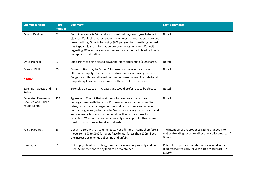| <b>Submitter Name</b>                                              | Page<br>number | <b>Summary</b>                                                                                                                                                                                                                                                                                                                                                                                                                                                           | <b>Staff comments</b>                                                                                                     |
|--------------------------------------------------------------------|----------------|--------------------------------------------------------------------------------------------------------------------------------------------------------------------------------------------------------------------------------------------------------------------------------------------------------------------------------------------------------------------------------------------------------------------------------------------------------------------------|---------------------------------------------------------------------------------------------------------------------------|
| Doody, Pauline                                                     | 61             | Submitter's race is 50m and is not used but pays each year to have it<br>cleaned. Contacted water ranger many times as race has been dry but<br>heard nothing. Objects to paying \$600 per year for something unused.<br>Has kept a folder of information on communications from Council<br>regarding SW over the years and requests a response to feedback as is<br>unhappy with situation.                                                                             | Noted.                                                                                                                    |
| Dyke, Micheal                                                      | 63             | Supports race being closed down therefore opposed to \$600 charge.                                                                                                                                                                                                                                                                                                                                                                                                       | Noted.                                                                                                                    |
| Everest, Phillip<br><b>HEARD</b>                                   | 65             | Fairest option may be Option 2 but needs to be incentive to use<br>alternative supply. Per metre rate is too severe if not using the race.<br>Suggests a differential based on if water is used or not. Flat rate for all<br>properties plus an increased rate for those that use the races.                                                                                                                                                                             | Noted.                                                                                                                    |
| Ewer, Bernadette and<br>Robin                                      | 67             | Strongly objects to an increases and would prefer race to be closed.                                                                                                                                                                                                                                                                                                                                                                                                     | Noted.                                                                                                                    |
| <b>Federated Farmers of</b><br>New Zealand (Elisha<br>Young-Ebert) | 127            | Agrees with Council that cost needs to be more equally shared<br>amongst those with SW races. Proposal reduces the burden of SW<br>rates, particularly for larger commercial farms who draw no benefit.<br>Submitter generally observes the SW network is largely inefficient and<br>know of many farmers who do not allow their stock access to<br>available SW as contamination is socially unacceptable. This means<br>most of the existing network is underutilised. | Noted.                                                                                                                    |
| Feiss, Margaret                                                    | 68             | Doesn't agree with a 700% increase. Has a limited income therefore a<br>move from \$90 to \$600 is major. Race length is less than 100m. Sees<br>the increase as revenue collecting and unfair.                                                                                                                                                                                                                                                                          | The intention of the proposed rating changes is to<br>reallocate rating revenue rather than collect more. - A<br>Guthrie. |
| Fowler, Ian                                                        | 69             | Not happy about extra charges as race is in front of property and not<br>used. Submitter has to pay for it to be maintained.                                                                                                                                                                                                                                                                                                                                             | Rateable properties that abut races located in the<br>road reserve typically incur the stockwater rate. - A<br>Guthrie    |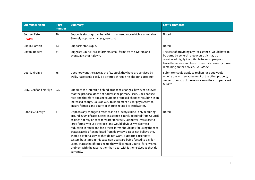| <b>Submitter Name</b>         | Page<br>number | <b>Summary</b>                                                                                                                                                                                                                                                                                                                                                                                                                                                                                                                                                                                                                                                                                                                                              | <b>Staff comments</b>                                                                                                                                                                                                                                      |
|-------------------------------|----------------|-------------------------------------------------------------------------------------------------------------------------------------------------------------------------------------------------------------------------------------------------------------------------------------------------------------------------------------------------------------------------------------------------------------------------------------------------------------------------------------------------------------------------------------------------------------------------------------------------------------------------------------------------------------------------------------------------------------------------------------------------------------|------------------------------------------------------------------------------------------------------------------------------------------------------------------------------------------------------------------------------------------------------------|
| George, Peter<br><b>HEARD</b> | 70             | Supports status quo as has 420m of unused race which is unreliable.<br>Strongly opposes change given cost.                                                                                                                                                                                                                                                                                                                                                                                                                                                                                                                                                                                                                                                  | Noted.                                                                                                                                                                                                                                                     |
| Gilpin, Hamish                | 73             | Supports status quo.                                                                                                                                                                                                                                                                                                                                                                                                                                                                                                                                                                                                                                                                                                                                        | Noted.                                                                                                                                                                                                                                                     |
| Girvan, Robert                | 74             | Suggests Council assist farmers/small farms off the system and<br>eventually shut it down.                                                                                                                                                                                                                                                                                                                                                                                                                                                                                                                                                                                                                                                                  | The cost of providing any "assistance" would have to<br>be borne by general ratepayers as it may be<br>considered highly inequitable to assist people to<br>leave the service and have those costs borne by those<br>remaining on the service. - A Guthrie |
| Gould, Virginia               | 75             | Does not want the race as the few stock they have are serviced by<br>wells. Race could easily be diverted through neighbour's property.                                                                                                                                                                                                                                                                                                                                                                                                                                                                                                                                                                                                                     | Submitter could apply to realign race but would<br>require the written agreement of the other property<br>owner to construct the new race on their property. - A<br>Guthrie                                                                                |
| Gray, Geof and Marilyn        | 239            | Endorses the intention behind proposed changes, however believes<br>that the proposal does not address the primary issue. Does not use<br>race and therefore does not support proposed changes resulting in an<br>increased charge. Calls on ADC to implement a user pay system to<br>ensure fairness and equity in charges related to stockwater.                                                                                                                                                                                                                                                                                                                                                                                                          |                                                                                                                                                                                                                                                            |
| Handley, Carolyn              | 77             | Opposes any change to rates as is on a lifestyle block only requiring<br>around 200m of race. States assistance is rarely required from Council<br>as does not rely on race for water for stock. Submitter lives close to<br>large farms who use the race (and would obviously welcome a<br>reduction in rates) and feels these farms should pay for using the race.<br>States race is often polluted from dairy cows. Does not believe they<br>should pay for a service they do not want. Supports a user pays<br>system but states in this case non-users are being forced to pay for<br>users. States that if rates go up they will contact Council for any small<br>problem with the race, rather than deal with it themselves as they do<br>currently. | Noted.                                                                                                                                                                                                                                                     |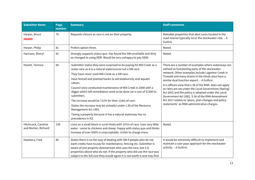| <b>Submitter Name</b>                      | Page<br>number | <b>Summary</b>                                                                                                                                                                                                                                                                                                                                                                                                                                                                                                                                                                                                                                               | <b>Staff comments</b>                                                                                                                                                                                                                                                                                                                                                                                                                                                                                                                                                                      |
|--------------------------------------------|----------------|--------------------------------------------------------------------------------------------------------------------------------------------------------------------------------------------------------------------------------------------------------------------------------------------------------------------------------------------------------------------------------------------------------------------------------------------------------------------------------------------------------------------------------------------------------------------------------------------------------------------------------------------------------------|--------------------------------------------------------------------------------------------------------------------------------------------------------------------------------------------------------------------------------------------------------------------------------------------------------------------------------------------------------------------------------------------------------------------------------------------------------------------------------------------------------------------------------------------------------------------------------------------|
| Harper, Bruce<br><b>HEARD</b>              | 79             | Requests closure as race is not on their property.                                                                                                                                                                                                                                                                                                                                                                                                                                                                                                                                                                                                           | Rateable properties that abut races located in the<br>road reserve typically incur the stockwater rate. - A<br>Guthrie                                                                                                                                                                                                                                                                                                                                                                                                                                                                     |
| Harper, Philip                             | 81             | Prefers option three.                                                                                                                                                                                                                                                                                                                                                                                                                                                                                                                                                                                                                                        | Noted.                                                                                                                                                                                                                                                                                                                                                                                                                                                                                                                                                                                     |
| Harrison, Sheryl                           | 82             | Strongly supports status quo. Has found the SW unreliable and dirty<br>so changed to using RDR. Would be very unhappy to pay \$600.                                                                                                                                                                                                                                                                                                                                                                                                                                                                                                                          | Noted.                                                                                                                                                                                                                                                                                                                                                                                                                                                                                                                                                                                     |
| Hewitt, Terence                            | 84             | Submitter states they were surprised to be paying for Mill Creek as a<br>water race as it is a natural watercourse not a SW race.<br>They have never used Mill Creek as a SW race.<br>Have fenced and planted banks to aid biodiversity and aquatic<br>values.<br>Council once conducted maintenance of Mill Creek in 2008 with a<br>digger which left remediation work to be done (at a cost of \$1500 to<br>submitter).<br>The increase would be 715% for their 118m of race.<br>States the increase may be unlawful under s.36 of the Resource<br>Management Act 1991.<br>Taxing a property because it has a natural waterway has no<br>precedence in NZ. | There are a number of examples where waterways are<br>utilised as functioning parts of the stockwater<br>network. Other examples include Lagmhor Creek in<br>Tinwald and many drains in the Hinds area have a<br>similar dual function aspect. - A Guthrie<br>It is officers view that s.36 of the RMA does not apply<br>as rates are set under the Local Government (Rating)<br>Act 2002 and the policy is adopted under the Local<br>Government Act 2002. S.36 of the RMA Amendment<br>Act 2017 relates to 'plans, plan changes and policy<br>statements' as RMA administrative charges. |
| Hitchcock, Caroline<br>and Morten, Richard | 138            | Lives on a small block in rural Hinds with 197m of race. Uses very little<br>water - some to chickens and sheep. Happy with status quo and thinks<br>increase of over 500% is unacceptable. Unfair to charge more.                                                                                                                                                                                                                                                                                                                                                                                                                                           | Noted.                                                                                                                                                                                                                                                                                                                                                                                                                                                                                                                                                                                     |
| Hoekstra, Fred                             | 85             | States there is no fair way of dealing with SW if people who do not<br>want creeks have to pay for maintenance, fencing etc. Submitter is<br>aware of one property downstream who uses the race, but 5-6<br>properties above who do not. If the property who did use the race was<br>subject to the full cost they would agree it is not worth it and may find                                                                                                                                                                                                                                                                                               | It would be extremely difficult to implement and<br>maintain a user pays approach for the stockwater<br>activity. - A Guthrie.                                                                                                                                                                                                                                                                                                                                                                                                                                                             |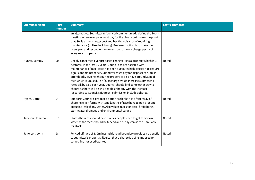| <b>Submitter Name</b> | Page<br>number | <b>Summary</b>                                                                                                                                                                                                                                                                                                                                                                                                                                                                                                                                                                                                                       | <b>Staff comments</b> |
|-----------------------|----------------|--------------------------------------------------------------------------------------------------------------------------------------------------------------------------------------------------------------------------------------------------------------------------------------------------------------------------------------------------------------------------------------------------------------------------------------------------------------------------------------------------------------------------------------------------------------------------------------------------------------------------------------|-----------------------|
|                       |                | an alternative. Submitter referenced comment made during the Zoom<br>meeting where everyone must pay for the library but makes the point<br>that SW is a much larger cost and has the nuisance of requiring<br>maintenance (unlike the Library). Preferred option is to make the<br>users pay, and second option would be to have a charge per ha of<br>every rural property.                                                                                                                                                                                                                                                        |                       |
| Hunter, Jeremy        | 90             | Deeply concerned over proposed changes. Has a property which is .4<br>hectares. In the last 15 years, Council has not assisted with<br>maintenance of race. Race has been dug out which causes it to require<br>significant maintenance. Submitter must pay for disposal of rubbish<br>after floods. Two neighbouring properties also have around 30m of<br>race which is unused. The \$600 charge would increase submitter's<br>rates bill by 33% each year. Council should find some other way to<br>charge as there will be 841 people unhappy with the increase<br>(according to Council's figures). Submission includes photos. | Noted.                |
| Hydes, Darrell        | 94             | Supports Council's proposed option as thinks it is a fairer way of<br>charging given farms with long lengths of race have to pay a lot and<br>are using little if any water. Also values races for bees, firefighting,<br>stormwater drainage and environmental values.                                                                                                                                                                                                                                                                                                                                                              | Noted.                |
| Jackson, Jonathon     | 97             | States the races should be cut off as people need to get their own<br>water as the races should be fenced and the system is too unreliable<br>for stock.                                                                                                                                                                                                                                                                                                                                                                                                                                                                             | Noted.                |
| Jefferson, John       | 98             | Fenced off race of 132m just inside road boundary provides no benefit<br>to submitter's property. Illogical that a charge is being imposed for<br>something not used/wanted.                                                                                                                                                                                                                                                                                                                                                                                                                                                         | Noted.                |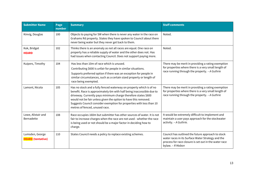| <b>Submitter Name</b>                       | Page<br>number | <b>Summary</b>                                                                                                                                                                                                                                                                                                                                                                              | <b>Staff comments</b>                                                                                                                                                               |
|---------------------------------------------|----------------|---------------------------------------------------------------------------------------------------------------------------------------------------------------------------------------------------------------------------------------------------------------------------------------------------------------------------------------------------------------------------------------------|-------------------------------------------------------------------------------------------------------------------------------------------------------------------------------------|
| Kinvig, Douglas                             | 100            | Objects to paying for SW when there is never any water in the race on<br>Grahams Rd property. States they have spoken to Council about there<br>never being water but they never get back to them.                                                                                                                                                                                          | Noted.                                                                                                                                                                              |
| Kok, Bridget<br><b>HEARD</b>                | 102            | Thinks there is an anomaly as not all races are equal. One race on<br>property has a reliable supply of water and the other does not. Has<br>had issues when contacting Council. Does not support paying more.                                                                                                                                                                              | Noted.                                                                                                                                                                              |
| Kuipers, Timothy                            | 104            | Has less than 10m of race which is unused.<br>Contributing \$600 is unfair for people in similar situations.<br>Supports preferred option if there was an exception for people in<br>similar circumstances, such as a certain sized property or length of<br>race being exempted.                                                                                                           | There may be merit in providing a rating exemption<br>for properties where there is a very small length of<br>race running through the property. - A Guthrie                        |
| Lamont, Nicola                              | 105            | Has no stock and a fully fenced waterway on property which is of no<br>benefit. Race is approximately 6m with half being inaccessible due to<br>driveway. Currently pays minimum charge therefore states \$600<br>would not be fair unless given the option to have this removed.<br>Suggests Council consider exemption for properties with less than 10<br>metres of fenced, unused race. | There may be merit in providing a rating exemption<br>for properties where there is a very small length of<br>race running through the property. - A Guthrie                        |
| Lowe, Alistair and<br>Bernadette            | 108            | Race occupies 160m but submitter has other sources of water. It is not<br>fair to increase charges when the race are not used - whether the race<br>is being used or not should be a major factor in deciding how to<br>charge.                                                                                                                                                             | It would be extremely difficult to implement and<br>maintain a user pays approach for the stockwater<br>activity. - A Guthrie.                                                      |
| Lumsden, George<br><b>HEARD</b> (tentative) | 110            | States Council needs a policy to replace existing schemes.                                                                                                                                                                                                                                                                                                                                  | Council has outlined the future approach to stock<br>water races in its Surface Water Strategy and the<br>process for race closure is set out in the water race<br>bylaw. - R Mabon |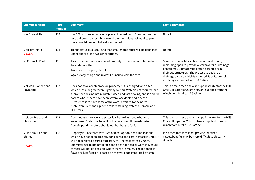| <b>Submitter Name</b>                          | Page<br>number | <b>Summary</b>                                                                                                                                                                                                                                                                                                                                                                                                                           | <b>Staff comments</b>                                                                                                                                                                                                                                                                                          |
|------------------------------------------------|----------------|------------------------------------------------------------------------------------------------------------------------------------------------------------------------------------------------------------------------------------------------------------------------------------------------------------------------------------------------------------------------------------------------------------------------------------------|----------------------------------------------------------------------------------------------------------------------------------------------------------------------------------------------------------------------------------------------------------------------------------------------------------------|
| MacDonald, Neil                                | 113            | Has 300m of fenced race on a piece of leased land. Does not use the<br>race but does pay for it be cleaned therefore does not want to pay<br>more. Would prefer it to be discontinued.                                                                                                                                                                                                                                                   | Noted.                                                                                                                                                                                                                                                                                                         |
| Malcolm, Mark<br><b>HEARD</b>                  | 114            | Thinks status quo is fair and that smaller properties will be penalised<br>under either of the two other options.                                                                                                                                                                                                                                                                                                                        | Noted.                                                                                                                                                                                                                                                                                                         |
| McCormick, Paul                                | 116            | Has a dried up creek in front of property, has not seen water in there<br>for eight months.<br>No stock on property therefore no use.<br>Against any charge and invites Council to view the race.                                                                                                                                                                                                                                        | Some races which have been confirmed as only<br>remaining open to provide a stormwater or drainage<br>benefit may ultimately be better classified as a<br>drainage structures. The process to declare a<br>drainage district, which is required, is quite complex,<br>involving elector polls etc. - A Guthrie |
| McEwan, Donece and<br>Raymond                  | 117            | Does not have a water race on property but is charged for a ditch<br>which runs along Methven Highway (284m). Water is not required but<br>submitter does maintain. Ditch is deep and fast flowing, and is a traffic<br>hazard where there have been several accidents and a death.<br>Preference is to have some of the water diverted to the north<br>Ashburton River and a pipe to take remaining water to Domain and<br>Mill Creek.  | This is a main race and also supplies water for the Mill<br>Creek. It is part of 20km network supplied from the<br>Winchmore Intake. - A Guthrie                                                                                                                                                               |
| McIlroy, Bruce and<br>Philomena                | 122            | Does not use the race and states it is hazard as people harvest<br>watercress. States the benefit of the race is to fill the Ashburton<br>Domain pond therefore should not be charged for it.                                                                                                                                                                                                                                            | This is a main race and also supplies water for the Mill<br>Creek. It is part of 20km network supplied from the<br>Winchmore Intake. - A Guthrie                                                                                                                                                               |
| Millar, Maurice and<br>Shirley<br><b>HEARD</b> | 132            | Property is 3 hectares with 85m of race. Option 2 has implications<br>which have not been properly considered and cost increase is unfair. It<br>will not achieved desired outcome. Will increase rates by 700%.<br>Submitter has to maintain race and does not need or want it. Closure<br>of races will not be possible where there are mains. The rationale is<br>flawed as justification is based on the workload generated by small | It is noted that races that provide for other<br>values/benefits may be more difficult to close. - A<br>Guthrie.                                                                                                                                                                                               |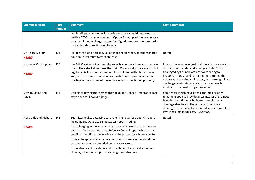| <b>Submitter Name</b>                 | Page<br>number | <b>Summary</b>                                                                                                                                                                                                                                                                                                                                                   | <b>Staff comments</b>                                                                                                                                                                                                                                                                                                                                               |
|---------------------------------------|----------------|------------------------------------------------------------------------------------------------------------------------------------------------------------------------------------------------------------------------------------------------------------------------------------------------------------------------------------------------------------------|---------------------------------------------------------------------------------------------------------------------------------------------------------------------------------------------------------------------------------------------------------------------------------------------------------------------------------------------------------------------|
|                                       |                | landholdings. However, evidence is anecdotal should not be used to<br>justify a 700% increase in rates. If Option 2 is adopted then suggests a<br>smaller minimum charge, or a series of graduated steps for properties<br>containing short sections of SW race.                                                                                                 |                                                                                                                                                                                                                                                                                                                                                                     |
| Morrison, Alistair<br><b>HEARD</b>    | 134            | All races should be closed, failing that people who want them should<br>pay or all rural ratepayers share cost.                                                                                                                                                                                                                                                  | Noted.                                                                                                                                                                                                                                                                                                                                                              |
| Morrison, Christopher<br><b>HEARD</b> | 136            | Has Mill Creek running through property - no more than a stormwater<br>drain. Their stock do not use the drain. Occasionally there are fish but<br>regularly die from contamination. Also polluted with plastic waste<br>and/or froth from stormwater. Requests Council pay them for the<br>privilege of the unwanted 'sewer' travelling through their property. | It has to be acknowledged that there is more work to<br>do to ensure that direct discharges to Mill Creek<br>(managed by Council) are not contributing to<br>incidence of trash and contaminants entering the<br>waterway. Notwithstanding that, there are significant<br>challenges maintaining water quality in heavily<br>modified urban waterways. - A Guthrie. |
| Mowat, Elaine and<br>Gavin            | 141            | Objects to paying more when they do all the upkeep. Imperative race<br>stays open for flood drainage.                                                                                                                                                                                                                                                            | Some races which have been confirmed as only<br>remaining open to provide a stormwater or drainage<br>benefit may ultimately be better classified as a<br>drainage structures. The process to declare a<br>drainage district, which is required, is quite complex,<br>involving elector polls etc. - A Guthrie.                                                     |
| Neill, Dale and Richard               | 143            | Submitter makes extensive case referring to various Council report<br>including the Opus 2012 Stockwater Report, noting:                                                                                                                                                                                                                                         | Noted.                                                                                                                                                                                                                                                                                                                                                              |
| <b>HEARD</b>                          |                | If the charging model must change, then any new structure must be<br>based on fact, not anecdotes. Refers to Council report where it was<br>detailed that officers believe it is smaller properties who rely on SW.                                                                                                                                              |                                                                                                                                                                                                                                                                                                                                                                     |
|                                       |                | In order to apply a fair charge, council must clearly understand the<br>current use of water provided by the race system.                                                                                                                                                                                                                                        |                                                                                                                                                                                                                                                                                                                                                                     |
|                                       |                | In the absence of the above and considering the current economic<br>climate, submitter supports retaining the status quo.                                                                                                                                                                                                                                        |                                                                                                                                                                                                                                                                                                                                                                     |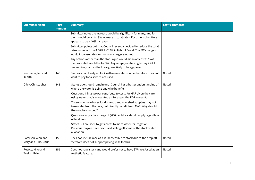| <b>Submitter Name</b>                      | Page<br>number | <b>Summary</b>                                                                                                                                                                                              | <b>Staff comments</b> |
|--------------------------------------------|----------------|-------------------------------------------------------------------------------------------------------------------------------------------------------------------------------------------------------------|-----------------------|
|                                            |                | Submitter notes the increase would be significant for many, and for<br>them would be a 14-19% increase in total rates. For other submitters it<br>appears to be a 40% increase.                             |                       |
|                                            |                | Submitter points out that Council recently decided to reduce the total<br>rates increase from 4.88% to 2.5% in light of Covid. The SW changes<br>would increase rates for many to a larger amount.          |                       |
|                                            |                | Any options other than the status quo would mean at least 25% of<br>their rates bill would be for SW. Any ratepayers having to pay 25% for<br>one service, such as the library, are likely to be aggrieved. |                       |
| Neumann, Ian and<br>Judith                 | 146            | Owns a small lifestyle block with own water source therefore does not<br>want to pay for a service not used.                                                                                                | Noted.                |
| Olley, Christopher                         | 148            | Status quo should remain until Council has a better understanding of<br>where the water is going and who benefits.                                                                                          | Noted.                |
|                                            |                | Questions if Trustpower contribute to costs for MAR given they are<br>using water that is consented as SW as per the RDR consent.                                                                           |                       |
|                                            |                | Those who have bores for domestic and cow shed supplies may not<br>take water from the race, but directly benefit from MAR. Why should<br>they not be charged?                                              |                       |
|                                            |                | Questions why a flat charge of \$600 per block should apply regardless<br>of land area.                                                                                                                     |                       |
|                                            |                | States BCI are keen to get access to more water for irrigation.<br>Previous mayors have discussed selling off some of the stock water<br>allocation.                                                        |                       |
| Paterson, Alan and<br>Mary and Pike, Chris | 150            | Does not use SW race as it is inaccessible to stock due to the drop off<br>therefore does not support paying \$600 for this.                                                                                | Noted.                |
| Pearce, Mike and<br>Taylor, Helen          | 152            | Does not have stock and would prefer not to have SW race. Used as an<br>aesthetic feature.                                                                                                                  | Noted.                |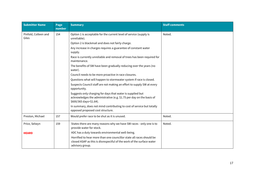| <b>Submitter Name</b>         | Page<br>number | <b>Summary</b>                                                                                                                                                   | <b>Staff comments</b> |
|-------------------------------|----------------|------------------------------------------------------------------------------------------------------------------------------------------------------------------|-----------------------|
| Pinfold, Colleen and<br>Giles | 154            | Option 1 is acceptable for the current level of service (supply is<br>unreliable).                                                                               | Noted.                |
|                               |                | Option 2 is blackmail and does not fairly charge.                                                                                                                |                       |
|                               |                | Any increase in charges requires a guarantee of constant water<br>supply.                                                                                        |                       |
|                               |                | Race is currently unreliable and removal of trees has been required for<br>maintenance.                                                                          |                       |
|                               |                | The benefits of SW have been gradually reducing over the years (no<br>water).                                                                                    |                       |
|                               |                | Council needs to be more proactive in race closures.                                                                                                             |                       |
|                               |                | Questions what will happen to stormwater system if race is closed.                                                                                               |                       |
|                               |                | Suspects Council staff are not making an effort to supply SW at every<br>opportunity.                                                                            |                       |
|                               |                | Suggests only charging for days that water is supplied but<br>acknowledges the administrative (e.g. \$1.75 per day on the basis of<br>\$600/365 days=\$1.64).    |                       |
|                               |                | In summary, does not mind contributing to cost of service but totally<br>opposed proposed cost structure.                                                        |                       |
| Preston, Michael              | 157            | Would prefer race to be shut as it is unused.                                                                                                                    | Noted.                |
| Price, Selwyn                 | 159            | States there are many reasons why we have SW races - only one is to<br>provide water for stock.                                                                  | Noted.                |
| <b>HEARD</b>                  |                | ADC has a duty towards environmental well-being.                                                                                                                 |                       |
|                               |                | Horrified to hear more than one councillor state all races should be<br>closed ASAP as this is disrespectful of the work of the surface water<br>advisory group. |                       |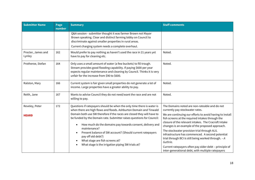| <b>Submitter Name</b>          | Page<br>number | <b>Summary</b>                                                                                                                                                                                                                                                                                                                                                                                                                                                                                                                                                                                              | <b>Staff comments</b>                                                                                                                                                                                                                                                                                                                                                                                                                                                                                                                                                                             |
|--------------------------------|----------------|-------------------------------------------------------------------------------------------------------------------------------------------------------------------------------------------------------------------------------------------------------------------------------------------------------------------------------------------------------------------------------------------------------------------------------------------------------------------------------------------------------------------------------------------------------------------------------------------------------------|---------------------------------------------------------------------------------------------------------------------------------------------------------------------------------------------------------------------------------------------------------------------------------------------------------------------------------------------------------------------------------------------------------------------------------------------------------------------------------------------------------------------------------------------------------------------------------------------------|
|                                |                | Q&A session - submitter thought it was farmer Brown not Mayor<br>Brown speaking. Clear and distinct farming lobby on Council to<br>discriminate against smaller properties in rural areas.                                                                                                                                                                                                                                                                                                                                                                                                                  |                                                                                                                                                                                                                                                                                                                                                                                                                                                                                                                                                                                                   |
|                                |                | Current charging system needs a complete overhaul.                                                                                                                                                                                                                                                                                                                                                                                                                                                                                                                                                          |                                                                                                                                                                                                                                                                                                                                                                                                                                                                                                                                                                                                   |
| Procter, James and<br>Lynley   | 162            | Would prefer to pay nothing as haven't used the race in 21 years yet<br>have to pay for cleaning etc.                                                                                                                                                                                                                                                                                                                                                                                                                                                                                                       | Noted.                                                                                                                                                                                                                                                                                                                                                                                                                                                                                                                                                                                            |
| Protheroe, Stefan              | 164            | Only uses a small amount of water (a few buckets) to fill trough.<br>Stream provides good flooding capability. If paying \$600 per year<br>expects regular maintenance and cleaning by Council. Thinks it is very<br>unfair for the increase from \$90 to \$600.                                                                                                                                                                                                                                                                                                                                            | Noted.                                                                                                                                                                                                                                                                                                                                                                                                                                                                                                                                                                                            |
| Ralston, Mary                  | 166            | Current system is fair given small properties do not generate a lot of<br>income. Large properties have a greater ability to pay.                                                                                                                                                                                                                                                                                                                                                                                                                                                                           | Noted.                                                                                                                                                                                                                                                                                                                                                                                                                                                                                                                                                                                            |
| Reith, Jane                    | 167            | Wants to advise Council they do not need/want the race and are not<br>willing to pay.                                                                                                                                                                                                                                                                                                                                                                                                                                                                                                                       | Noted.                                                                                                                                                                                                                                                                                                                                                                                                                                                                                                                                                                                            |
| Reveley, Peter<br><b>HEARD</b> | 172            | Questions if ratepayers should be when the only time there is water is<br>when there are high flows and floods. Ashburton Domain and Tinwald<br>Domain both use SW therefore if the races are closed they will have to<br>be funded by the Domain rate. Submitter raises questions for Council:<br>How much do the domains pay towards consent, delivery and<br>$\bullet$<br>maintenance?<br>Present balance of SW account? (Should current ratepayers<br>$\bullet$<br>pay off old debt?)<br>What stage are fish screens at?<br>$\bullet$<br>What stage is the irrigation piping SW trials at?<br>$\bullet$ | The Domains noted are non-rateable and do not<br>currently pay stockwater rates.<br>We are continuing our efforts to avoid having to install<br>fish screens at the required intakes through the<br>closure of the relevant intakes. The Cracroft Intake<br>changes is an example of the proposed approach.<br>The stockwater provision trial through ALIL<br>infrastructure has commenced. A second potential<br>trial through BCI is still being worked through. - A<br>Guthrie.<br>Current ratepayers often pay older debt - principle of<br>inter-generational debt, with multiple ratepayers |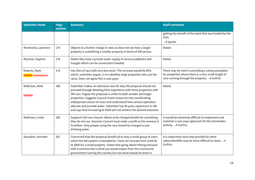| <b>Submitter Name</b>                     | Page<br>number | <b>Summary</b>                                                                                                                                                                                                                                                                                                                                                                                                                                                                                           | <b>Staff comments</b>                                                                                                                                        |
|-------------------------------------------|----------------|----------------------------------------------------------------------------------------------------------------------------------------------------------------------------------------------------------------------------------------------------------------------------------------------------------------------------------------------------------------------------------------------------------------------------------------------------------------------------------------------------------|--------------------------------------------------------------------------------------------------------------------------------------------------------------|
|                                           |                |                                                                                                                                                                                                                                                                                                                                                                                                                                                                                                          | getting the benefit of the work that was funded by the<br>loan.<br>- R Sparks                                                                                |
| Richmond, Lawrence                        | 174            | Objects to a further charge in rates as does not see how a larger<br>property is subsidising a smaller property in terms of SW service.                                                                                                                                                                                                                                                                                                                                                                  | Noted.                                                                                                                                                       |
| Rissman, Daphne                           | 176            | States they have a private water supply to service paddocks and<br>troughs which can be connected if needed.                                                                                                                                                                                                                                                                                                                                                                                             | Noted.                                                                                                                                                       |
| Roberts, Mark<br><b>HEARD</b> (tentative) | 178            | Has 30m of race with very few stock. The increase would be 85%<br>which, submitter argues, is to subsidise large properties who use the<br>races. Does not agree this is user pays.                                                                                                                                                                                                                                                                                                                      | There may be merit in providing a rating exemption<br>for properties where there is a very small length of<br>race running through the property. - A Guthrie |
| Robinson, Mark<br><b>HEARD</b>            | 180            | Submitter makes an extensive case for why the proposal should not<br>proceed through detailing their experience with three properties with<br>SW race. Argues the proposal is unfair to both smaller and larger<br>properties. Suggests Council invest resources into coordinating<br>widespread closure of races and understand how various operators<br>allocate and provide water. Submitter has 40 years experience in SW<br>and says that increasing to \$600 will not achieve the desired outcome. | Noted.                                                                                                                                                       |
| Rollinson, Linda                          | 185            | Supports full race closure. About to be charged double for something<br>they do not use. Assumes Council must make a profit as the revenue is<br>\$1 million. Only people using the race should be charged as per<br>drinking water.                                                                                                                                                                                                                                                                     | It would be extremely difficult to implement and<br>maintain a user pays approach for the stockwater<br>activity. - A Guthrie.                               |
| Saunders, Kenneth                         | 187            | Concerned that the proposal beneficial to only a small group of users<br>which the SW system is intended for. Faces an increase from \$109.48<br>to \$600 for a small property. States that going about hitting everyone<br>with a common fee is what you would expect from the communist<br>government running the country but not what should be done in                                                                                                                                               | It is noted that races that provide for other<br>values/benefits may be more difficult to close. - A<br>Guthrie.                                             |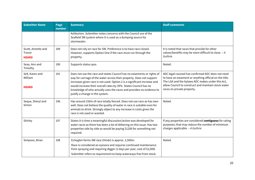| <b>Submitter Name</b>                        | Page<br>number | <b>Summary</b>                                                                                                                                                                                                                                                                                                                                                                                             | <b>Staff comments</b>                                                                                                                                                                                                                                |
|----------------------------------------------|----------------|------------------------------------------------------------------------------------------------------------------------------------------------------------------------------------------------------------------------------------------------------------------------------------------------------------------------------------------------------------------------------------------------------------|------------------------------------------------------------------------------------------------------------------------------------------------------------------------------------------------------------------------------------------------------|
|                                              |                | Ashburton. Submitter notes concerns with the Council use of the<br>Seafield SW system where it is used as a dumping source for<br>stormwater.                                                                                                                                                                                                                                                              |                                                                                                                                                                                                                                                      |
| Scott, Annette and<br>Trevor<br><b>HEARD</b> | 189            | Does not rely on race for SW. Preference is to have race closed.<br>However, supports Option One if the race must run through the<br>property.                                                                                                                                                                                                                                                             | It is noted that races that provide for other<br>values/benefits may be more difficult to close. - A<br>Guthrie.                                                                                                                                     |
| Seay, Ann and<br>Timothy                     | 190            | Supports status quo.                                                                                                                                                                                                                                                                                                                                                                                       | Noted.                                                                                                                                                                                                                                               |
| Sell, Karen and<br>William<br><b>HEARD</b>   | 191            | Does not use the race and states Council has no easements or rights of<br>way for carriage of the water across their property. Does not support<br>increases given race is not used. Option 2 is a significant increase and<br>would increase their overall rates by 39%. States Council has no<br>knowledge of who actually uses the races and provides no evidence to<br>justify a change in the system. | ADC legal counsel has confirmed ADC does not need<br>to have an easement or anything official on the title.<br>The LGA and the bylaws ADC makes under this Act,<br>allow Council to construct and maintain stock water<br>races on private property. |
| Seque, Sheryl and<br>Simon                   | 196            | Has around 150m of race totally fenced. Does not use race as has own<br>well. Does not believe the quality of water in race is suitable even for<br>animals to drink. Strongly object to any increase in costs given the<br>race is not used or wanted.                                                                                                                                                    | Noted.                                                                                                                                                                                                                                               |
| Shirley                                      | 197            | States it is time a meaningful discussion/action was developed for<br>water races as there has been a lot of dithering on this issue. Has two<br>properties side by side so would be paying \$1200 for something not<br>required.                                                                                                                                                                          | If any properties are considered contiguous for rating<br>purposes; that may reduce the number of minimum<br>charges applicable. - A Guthrie                                                                                                         |
| Simpson, Brian                               | 198            | Echoglen farms SW race (Hinds) is approx. 2,500m.<br>Race is considered an eyesore and requires continued maintenance<br>from spraying and requiring digger (2 days per year, cost of \$2,000)<br>Submitter refers to requirement to keep waterways free from stock.                                                                                                                                       | Noted.                                                                                                                                                                                                                                               |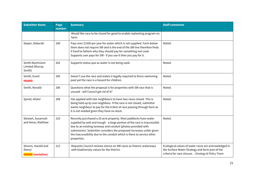| <b>Submitter Name</b>                                     | Page<br>number | <b>Summary</b>                                                                                                                                                                                                                                                                                                                                                                | <b>Staff comments</b>                                                                                                                                          |
|-----------------------------------------------------------|----------------|-------------------------------------------------------------------------------------------------------------------------------------------------------------------------------------------------------------------------------------------------------------------------------------------------------------------------------------------------------------------------------|----------------------------------------------------------------------------------------------------------------------------------------------------------------|
|                                                           |                | Would like race to be closed for good to enable replanting program on<br>farm.                                                                                                                                                                                                                                                                                                |                                                                                                                                                                |
| Sloper, Deborah                                           | 200            | Pays over \$1500 per year for water which is not supplied. Farm below<br>them does not require SW and is the end of the SW line therefore finds<br>it hard to fathom why they should pay for something not used.<br>Supports user pays for SW - if you use it then you pay for it.                                                                                            | Noted.                                                                                                                                                         |
| Smith Aluminium<br>Limited (Murray<br>Smith)              | 202            | Supports status quo as water is not being used.                                                                                                                                                                                                                                                                                                                               | Noted.                                                                                                                                                         |
| Smith, Grant<br><b>HEARD</b>                              | 205            | Doesn't use the race and states is legally required to fence swimming<br>pool yet the race is a hazard for children.                                                                                                                                                                                                                                                          | Noted.                                                                                                                                                         |
| Smith, Ronald                                             | 206            | Questions what the proposal is for properties with SW race that is<br>unused - will Council get rid of it?                                                                                                                                                                                                                                                                    | Noted.                                                                                                                                                         |
| Sprott, Alister                                           | 208            | Has applied with two neighbours to have two races closed. This is<br>being held up by one neighbour. If the race is not closed, submitter<br>wants neighbour to pay for the 4.5km of race passing through farm as<br>it is not needed given they have no stock.                                                                                                               | Noted.                                                                                                                                                         |
| Stewart, Susannah<br>and Amos, Matthew                    | 210            | Recently purchased a 20 acre property. Most paddocks have water<br>supplied by well and trough - a large portion of the race is inaccessible<br>due to an existing laneway and conduit (photos provided with<br>submission). Submitter considers the proposed increases unfair given<br>the inaccessibility due to the conduit which is there to service other<br>properties. | Noted.                                                                                                                                                         |
| Stivens, Harold and<br>Sheryl<br><b>HEARD</b> (tentative) | 212            | Requests Council reviews stance on SW races as historic waterways<br>with biodiversity values for the District.                                                                                                                                                                                                                                                               | Ecological values of water races are acknowledged in<br>the Surface Water Strategy and form part of the<br>criteria for race closure. - Strategy & Policy Team |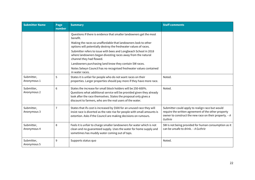| <b>Submitter Name</b>     | Page<br>number | <b>Summary</b>                                                                                                                                                                                                                                                          | <b>Staff comments</b>                                                                                                                                                       |
|---------------------------|----------------|-------------------------------------------------------------------------------------------------------------------------------------------------------------------------------------------------------------------------------------------------------------------------|-----------------------------------------------------------------------------------------------------------------------------------------------------------------------------|
|                           |                | Questions if there is evidence that smaller landowners get the most<br>benefit.                                                                                                                                                                                         |                                                                                                                                                                             |
|                           |                | Making the races so unaffordable that landowners look to other<br>options will potentially destroy the freshwater values of races.                                                                                                                                      |                                                                                                                                                                             |
|                           |                | Submitter refers to issue with bees and Longbeach School in 2018<br>where landowners began divesting races away from the natural<br>channel they had flowed.                                                                                                            |                                                                                                                                                                             |
|                           |                | Landowners purchasing land know they contain SW races.                                                                                                                                                                                                                  |                                                                                                                                                                             |
|                           |                | Notes Selwyn Council has no recognised freshwater values contained<br>in water races.                                                                                                                                                                                   |                                                                                                                                                                             |
| Submitter,<br>Anonymous 1 | 5              | States it is unfair for people who do not want races on their<br>properties. Larger properties should pay more if they have more race.                                                                                                                                  | Noted.                                                                                                                                                                      |
| Submitter,<br>Anonymous 2 | $\sqrt{6}$     | States the increase for small block holders will be 250-600%.<br>Questions what additional service will be provided given they already<br>look after the race themselves. States the proposal only gives a<br>discount to farmers, who are the real users of the water. | Noted.                                                                                                                                                                      |
| Submitter,<br>Anonymous 3 | $\overline{1}$ | States that ifs cost is increased by \$500 for an unused race they will<br>insist race is diverted as the rate rise for people with small amounts is<br>extortion. Asks if the Council are making decisions on rumours.                                                 | Submitter could apply to realign race but would<br>require the written agreement of the other property<br>owner to construct the new race on their property. - A<br>Guthrie |
| Submitter,<br>Anonymous 4 | 8              | Feels it is unfair to charge smaller landowners for water which is not<br>clean and no guaranteed supply. Uses the water for home supply and<br>sometimes has muddy water coming out of taps.                                                                           | SW is not being provided for human consumption as it<br>can be unsafe to drink. - A Guthrie                                                                                 |
| Submitter,<br>Anonymous 5 | $9\,$          | Supports status quo                                                                                                                                                                                                                                                     | Noted.                                                                                                                                                                      |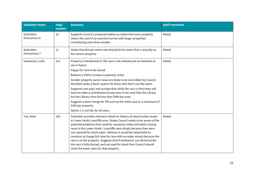| <b>Submitter Name</b>     | Page<br>number | <b>Summary</b>                                                                                                                                                                                                                                                                                                                                                                                                                                                                                                                                                                                                                                                       | <b>Staff comments</b> |
|---------------------------|----------------|----------------------------------------------------------------------------------------------------------------------------------------------------------------------------------------------------------------------------------------------------------------------------------------------------------------------------------------------------------------------------------------------------------------------------------------------------------------------------------------------------------------------------------------------------------------------------------------------------------------------------------------------------------------------|-----------------------|
| Submitter,<br>Anonymous 6 | 10             | Supports Council's proposed option as states that every property<br>shares the cost of an essential service with larger properties<br>contributing more than smaller.                                                                                                                                                                                                                                                                                                                                                                                                                                                                                                | Noted.                |
| Submitter,<br>Anonymous 7 | 11             | States that the per metre rate should be for water that is actually on<br>the owners property.                                                                                                                                                                                                                                                                                                                                                                                                                                                                                                                                                                       | Noted.                |
| Sweetman, Colin           | 214            | Property is Residential D. SW race is not utilised and no intention to<br>use in future.<br>Happy for race to be closed.<br>Believes a 550% increase is patently unfair.<br>Smaller property owner views are likely to be overridden by Council<br>therefore seeks a fairer system for those who don't use the water.<br>Supports user pays and accepts that while the race is there they will<br>have to make a contribution to pay even if not used (like the Library<br>but the Library costs far less than \$600 per year)<br>Suggests a base charge for SW such as the status quo or a maximum of<br>\$200 per property.<br>Option 2 is not fair for all users. | Noted.                |
| Tait, Allan               | 216            | Submitter provides extensive detail on history of stock/surface water<br>in Lower Hinds/Lowcliffe area. States Council needs to be aware of the<br>potential problems that could be caused by indiscriminately closing<br>races in the Lower Hinds / Lowcliffe area simply because they were<br>not required for stock water. Believes it would be inequitable to<br>continue to charge full rates for race with no water simply because the<br>race is on the property. Suggests that if landowner can demonstrate<br>the race is fully fenced, and not used for stock then Council should<br>remit the water rates for that property.                              | Noted.                |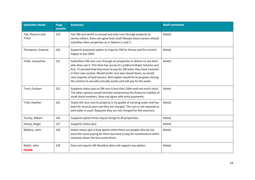| <b>Submitter Name</b>       | Page<br>number | <b>Summary</b>                                                                                                                                                                                                                                                                                                                                                                                                                         | <b>Staff comments</b> |
|-----------------------------|----------------|----------------------------------------------------------------------------------------------------------------------------------------------------------------------------------------------------------------------------------------------------------------------------------------------------------------------------------------------------------------------------------------------------------------------------------------|-----------------------|
| Tait, Maurice and<br>Tracy  | 219            | Has SW race which is unused and only runs through property to<br>service others. Does not agree that small lifestyle block owners should<br>subsidise other properties as in Options 2 and 3.                                                                                                                                                                                                                                          | Noted.                |
| Thompson, Graeme            | 220            | Supports proposed option as requires SW for horses and fire control.<br>Happy to pay \$600.                                                                                                                                                                                                                                                                                                                                            | Noted.                |
| Todd, Jacqueline            | 221            | Submitters SW race runs through six properties to deliver to one farm<br>who does use it. This farm has access to Lyndhurst Water Scheme and<br>ALIL. Frustrated that they have to pay for SW when they have invested<br>in their own system. Would prefer race was closed down, as would<br>vast majority of land owners. Best option would be to propose closing<br>the scheme to see who actually wants and will pay for the water. | Noted.                |
| Trost, Graham               | 223            | Supports status quo as SW race is less than 100m and not much stock.<br>The other options would severely compromise the financial viability of<br>small stock numbers. Does not agree with extra payments.                                                                                                                                                                                                                             | Noted.                |
| Trott, Heather              | 225            | States the race next to property is incapable of carrying water and has<br>been for several years yet they are charged. The race is not required as<br>well water is used. Requests they are not charged for this anymore.                                                                                                                                                                                                             | Noted.                |
| Turney, Robert              | 226            | Supports option three (equal charge to all properties).                                                                                                                                                                                                                                                                                                                                                                                | Noted.                |
| Vessey, Roger               | 227            | Supports status quo.                                                                                                                                                                                                                                                                                                                                                                                                                   | Noted.                |
| Wallace, John               | 228            | States status quo is best option when there are people who do not<br>want the races paying for them but have to pay for maintenance when<br>someone down the line wants them.                                                                                                                                                                                                                                                          | Noted.                |
| Walsh, John<br><b>HEARD</b> | 229            | Does not require SW therefore does not support any option.                                                                                                                                                                                                                                                                                                                                                                             | Noted.                |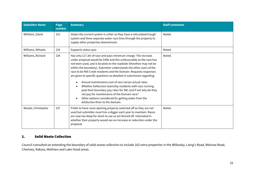| <b>Submitter Name</b> | Page<br>number | <b>Summary</b>                                                                                                                                                                                                                                                                                                                                                                                                                                                                                                                                                                                                                                                                                                                                                                                   | <b>Staff comments</b> |
|-----------------------|----------------|--------------------------------------------------------------------------------------------------------------------------------------------------------------------------------------------------------------------------------------------------------------------------------------------------------------------------------------------------------------------------------------------------------------------------------------------------------------------------------------------------------------------------------------------------------------------------------------------------------------------------------------------------------------------------------------------------------------------------------------------------------------------------------------------------|-----------------------|
| Whillans, David       | 231            | States the current system is unfair as they have a reticulated trough<br>system and three separate water race lines through the property to<br>supply other properties downstream.                                                                                                                                                                                                                                                                                                                                                                                                                                                                                                                                                                                                               | Noted.                |
| Williams, Mihaela     | 233            | Supports status quo.                                                                                                                                                                                                                                                                                                                                                                                                                                                                                                                                                                                                                                                                                                                                                                             | Noted.                |
| Williams, Richard     | 234            | Has only 117.3m of race and pays minimum charge. The increase<br>under proposal would be \$490 and this unfavourable as the race has<br>not been used, and is located on the roadside (therefore may not be<br>within the boundary). Submitter understands the other users of the<br>race to be Mill Creek residents and the Domain. Requests responses<br>are given to specific questions as detailed in submission regarding:<br>Annual maintenance cost of race versus actual rates.<br>$\bullet$<br>Whether Ashburton township residents with race running<br>$\bullet$<br>past their boundary pay rates for SW, and if not why do they<br>not pay for maintenance of the Domain race?<br>Other options considered for getting water from the<br>$\bullet$<br>Ashburton River to the Domain. | Noted.                |
| Woods, Christopher    | 237            | Prefer to have races ajoining property switched off as they are not<br>used but submitter must hire a digger each year to maintain. Races<br>are now too deep for stock to use so are fenced off. Interested in<br>whether their property would see an increase or reduction under the<br>proposal.                                                                                                                                                                                                                                                                                                                                                                                                                                                                                              | Noted.                |

#### <span id="page-24-0"></span>2. Solid Waste Collection

Council consulted on extending the boundary of solid waste collection to include 162 extra properties in the Willowby, Laing's Road, Melrose Road, Chertsey, Rakaia, Methven and Lake Hood areas.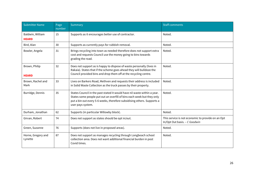| <b>Submitter Name</b>            | Page<br>number | Summary                                                                                                                                                                                                                                            | <b>Staff comments</b>                                                              |
|----------------------------------|----------------|----------------------------------------------------------------------------------------------------------------------------------------------------------------------------------------------------------------------------------------------------|------------------------------------------------------------------------------------|
| Baldwin, William<br><b>HEARD</b> | 15             | Supports as it encourages better use of contractor.                                                                                                                                                                                                | Noted.                                                                             |
| Bird, Alan                       | 30             | Supports as currently pays for rubbish removal.                                                                                                                                                                                                    | Noted.                                                                             |
| Bowler, Angela                   | 31             | Brings recycling into town as needed therefore does not support extra<br>cost and requests Council use the money going to bins towards<br>grading the road.                                                                                        | Noted.                                                                             |
| Brown, Philip<br><b>HEARD</b>    | 32             | Does not support as is happy to dispose of waste personally (lives in<br>Rakaia). States that if the scheme goes ahead they will bulldoze the<br>Council provided bins and drop them off at the recycling centre.                                  | Noted.                                                                             |
| Brown, Rachel and<br>Mark        | 33             | Lives on Barkers Road, Methven and requests their address is included<br>in Solid Waste Collection as the truck passes by their property.                                                                                                          | Noted.                                                                             |
| Burridge, Dennis                 | 35             | States Council in the past stated it would have nil waste within a year.<br>States some people put out an overfill of bins each week but they only<br>put a bin out every 5-6 weeks, therefore subsidising others. Supports a<br>user pays system. | Noted.                                                                             |
| Durham, Jonathan                 | 62             | Supports (in particular Willowby block).                                                                                                                                                                                                           | Noted.                                                                             |
| Girvan, Robert                   | 74             | Does not support as states should be opt in/out.                                                                                                                                                                                                   | This service is not economic to provide on an Opt<br>In/Opt Out basis. - C Goodwin |
| Green, Suzanne                   | 76             | Supports (does not live in proposed areas).                                                                                                                                                                                                        | Noted.                                                                             |
| Horne, Gregory and<br>Lynette    | 87             | Does not support as manages recycling through Longbeach school<br>collection area. Does not want additional financial burden in post<br>Covid times.                                                                                               | Noted.                                                                             |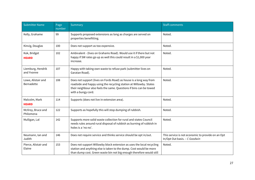| <b>Submitter Name</b>            | Page<br>number | Summary                                                                                                                                                                                                                               | <b>Staff comments</b>                                                              |
|----------------------------------|----------------|---------------------------------------------------------------------------------------------------------------------------------------------------------------------------------------------------------------------------------------|------------------------------------------------------------------------------------|
| Kelly, Grahame                   | 99             | Supports proposed extensions as long as charges are served on<br>properties benefitting.                                                                                                                                              | Noted.                                                                             |
| Kinvig, Douglas                  | 100            | Does not support as too expensive.                                                                                                                                                                                                    | Noted.                                                                             |
| Kok, Bridget<br><b>HEARD</b>     | 102            | Ambivalent - (lives on Grahams Road). Would use it if there but not<br>happy if SW rates go up as well this could result in a \$1,000 year<br>increase.                                                                               | Noted.                                                                             |
| Liemburg, Hendrik<br>and Yvonne  | 107            | Happy with taking own waste to refuse park (submitter lives on<br>Garatan Road).                                                                                                                                                      | Noted.                                                                             |
| Lowe, Alistair and<br>Bernadette | 108            | Does not support (lives on Fords Road) as house is a long way from<br>roadside and happy using the recycling station at Willowby. States<br>their neighbour also feels the same. Questions if bins can be towed<br>with a bungy cord. | Noted.                                                                             |
| Malcolm, Mark<br><b>HEARD</b>    | 114            | Supports (does not live in extension area).                                                                                                                                                                                           | Noted.                                                                             |
| McIlroy, Bruce and<br>Philomena  | 122            | Supports as hopefully this will stop dumping of rubbish.                                                                                                                                                                              | Noted.                                                                             |
| Mulligan, Lal                    | 142            | Supports more solid waste collection for rural and states Council<br>needs rules around rural disposal of rubbish as burning of rubbish in<br>holes is a 'no no'.                                                                     | Noted.                                                                             |
| Neumann, Ian and<br>Judith       | 146            | Does not require service and thinks service should be opt in/out.                                                                                                                                                                     | This service is not economic to provide on an Opt<br>In/Opt Out basis. - C Goodwin |
| Pierce, Alistair and<br>Elaine   | 153            | Does not support Willowby block extension as uses the local recycling<br>station and anything else is taken to the dump. Cost would be more<br>than dump cost. Green waste bin not big enough therefore would still                   | Noted.                                                                             |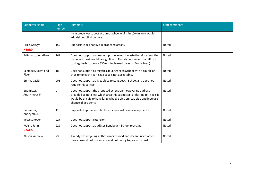| <b>Submitter Name</b>         | Page<br>number | Summary                                                                                                                                                                                                                                   | <b>Staff comments</b> |
|-------------------------------|----------------|-------------------------------------------------------------------------------------------------------------------------------------------------------------------------------------------------------------------------------------------|-----------------------|
|                               |                | incur green waste cost at dump. Wheelie bins in 100km area would<br>add risk for blind corners.                                                                                                                                           |                       |
| Price, Selwyn<br><b>HEARD</b> | 159            | Supports (does not live in proposed areas).                                                                                                                                                                                               | Noted.                |
| Pritchard, Jonathan           | 161            | Does not support as does not produce much waste therefore feels the<br>increase in cost would be significant. Also states it would be difficult<br>to drag the bin down a 330m shingle road (lives on Fords Road).                        | Noted.                |
| Schmack, Brent and<br>Fleur   | 188            | Does not support as recycles at Longbeach School with a couple of<br>trips to tip each year. \$232 cost is not acceptable.                                                                                                                | Noted.                |
| Smith, David                  | 203            | Does not support as lives close to Longbeach School and does not<br>require this service.                                                                                                                                                 | Noted.                |
| Submitter,<br>Anonymous 5     | 9              | Does not support the proposed extension (however no address<br>provided so not clear which area this submitter is referring to). Feels it<br>would be unsafe to have large wheelie bins on road side and increase<br>chance of accidents. | Noted.                |
| Submitter,<br>Anonymous 7     | 11             | Supports to provide collection for areas of new developments.                                                                                                                                                                             | Noted.                |
| Vessey, Roger                 | 227            | Does not support extension.                                                                                                                                                                                                               | Noted.                |
| Walsh, John<br><b>HEARD</b>   | 229            | Does not support as utilises Longbeach School recycling.                                                                                                                                                                                  | Noted.                |
| Wilson, Andrew                | 236            | Already has recycling at the corner of road and doesn't need other<br>bins so would not use service and not happy to pay extra cost.                                                                                                      | Noted.                |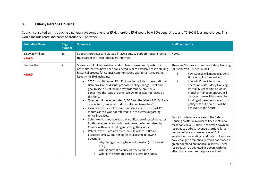#### <span id="page-28-0"></span>3. Elderly Persons Housing

Council consulted on introducing a general rate component for EPH, therefore EPH would be 0-30% general rate and 70-100% fees and charges. This would include rental increases of around \$10 per week.

| <b>Submitter Name</b>            | Page<br>number | <b>Summary</b>                                                                                                                                                                                                                                                                                                                                                                                                                                                                                                                                 | <b>Staff comments</b>                                                                                                                                                                                                                                                                                                                                                                                                                                                             |
|----------------------------------|----------------|------------------------------------------------------------------------------------------------------------------------------------------------------------------------------------------------------------------------------------------------------------------------------------------------------------------------------------------------------------------------------------------------------------------------------------------------------------------------------------------------------------------------------------------------|-----------------------------------------------------------------------------------------------------------------------------------------------------------------------------------------------------------------------------------------------------------------------------------------------------------------------------------------------------------------------------------------------------------------------------------------------------------------------------------|
| Baldwin, William<br><b>HEARD</b> | 15             | Supports proposal and states all have a duty to support housing -being<br>transparent will keep ratepayers informed.                                                                                                                                                                                                                                                                                                                                                                                                                           | Noted.                                                                                                                                                                                                                                                                                                                                                                                                                                                                            |
| Beavan, Rod<br><b>HEARD</b>      | 21             | States lack of full information and confused reasoning. Questions if<br>other alternatives have been considered. Makes extensive case detailing<br>historical process for Council communicating with tenants regarding<br>issues with EPH including:                                                                                                                                                                                                                                                                                           | There are 2 issues surrounding Elderly Housing<br>for Ashburton District Council<br>how Council will manage Elderly<br>i.                                                                                                                                                                                                                                                                                                                                                         |
|                                  |                | 2017 consultation on EPH Policy - Council staff presentation at<br>Balmoral Hall to discuss proposed policy changes, rent and<br>goal to use 25% of income towards rent. Submitter is<br>concerned the issue of using reserve funds was not raised at<br>this time.<br>Questions if the letter dated 1/7/20 and the letter of 17/6/19 are<br>$\bullet$<br>connected. (If so, when did consultation take place?)<br>Assumes the issue of reserve funds has arisen in the last 12<br>months as this was not referred to in the letters regarding | Housing going forward and<br>ii.<br>how will Council fund the<br>operation of its Elderly Housing<br>Portfolio. Depending on which<br>model of management Council<br>chooses there will be a need for<br>funding of the operation and this<br>policy sets out how this will be<br>achieved in the future.                                                                                                                                                                         |
|                                  |                | rental increases.<br>Submitter has not received any notification of rental increases<br>for this year and states this must mean the issues raised by<br>Council with underfunding must be getting worse.<br>Refers to the Guardian article (2/7/20) where Cr Braam<br>discusses EPH. Submitter states it raises the following<br>questions:<br>Why change funding before discussion (on future of<br>$\circ$<br>EPH)?<br>What is current balance of reserve funds?<br>$\Omega$<br>What is the estimated cost of upgrading units?<br>$\circ$    | Council undertook a review of the Elderly<br>Housing portfolio in order to keep rents at a<br>reasonable level. Council has drawn down on<br>reserves to address revenue shortfalls for a<br>number of years. However, since 2017<br>legislation surrounding Landlords 'obligations<br>have changed dramatically which has placed a<br>greater demand on financial reserves. These<br>reserves will be depleted in 2 years with the<br>effect that current rental policy will not |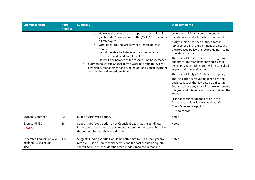| <b>Submitter Name</b>                                               | Page<br>number | <b>Summary</b>                                                                                                                                                                                                                                                                                                                                                                                                                                                                                                                                                | <b>Staff comments</b>                                                                                                                                                                                                                                                                                                                                                                                                                                                                                                                                                                                                                                                                                                                                                                                                                               |
|---------------------------------------------------------------------|----------------|---------------------------------------------------------------------------------------------------------------------------------------------------------------------------------------------------------------------------------------------------------------------------------------------------------------------------------------------------------------------------------------------------------------------------------------------------------------------------------------------------------------------------------------------------------------|-----------------------------------------------------------------------------------------------------------------------------------------------------------------------------------------------------------------------------------------------------------------------------------------------------------------------------------------------------------------------------------------------------------------------------------------------------------------------------------------------------------------------------------------------------------------------------------------------------------------------------------------------------------------------------------------------------------------------------------------------------------------------------------------------------------------------------------------------------|
|                                                                     |                | How was the general rate component determined?<br>$\circ$<br>(i.e. how did Council come to the \$2 of \$90 per year for<br>all ratepayers?)<br>What does 'around \$10 per week' rental increase<br>$\circ$<br>mean?<br>Would the ideal be to have rentals the same for<br>$\Omega$<br>everyone, single and double units?<br>How will the balance of the reserve fund be increased?<br>$\circ$<br>Submitter suggests Council form a working group to review<br>ownership, management and funding options, consult with the<br>community and investigate fully. | generate sufficient income to meet the<br>maintenance and refurbishment required.<br>A 20 year plan has been outlined for the<br>replacement and refurbishment of units with<br>the proposed policy change providing income<br>to sustain this plan.<br>The letter of 17/6/19 refers to investigating<br>options for the management which is still<br>being looked at and tenants will be consulted<br>as part of this investigation.<br>The letter of 1 July 2020 refers to this policy.<br>The legislation surrounding tenancies and<br>Covid 19 is such that it would be difficult for<br>Council to have any rental increase for tenants<br>this year and this will also place a strain on the<br>reserve.<br>I cannot comment on the article in the<br>Guardian as this as it was stated was Cr<br>Braam's personal opinion.<br>C. Windleborne |
| Durham, Jonathan                                                    | 62             | Supports preferred option.                                                                                                                                                                                                                                                                                                                                                                                                                                                                                                                                    | Noted.                                                                                                                                                                                                                                                                                                                                                                                                                                                                                                                                                                                                                                                                                                                                                                                                                                              |
| Everest, Phillip<br><b>HEARD</b>                                    | 65             | Supports preferred option given Council already has the buildings.<br>Important to keep them up to standard as tenants have contributed to<br>the community over their working life.                                                                                                                                                                                                                                                                                                                                                                          | Noted.                                                                                                                                                                                                                                                                                                                                                                                                                                                                                                                                                                                                                                                                                                                                                                                                                                              |
| <b>Federated Farmers of New</b><br>Zealand (Elisha Young-<br>Ebert) | 127            | Suggests funding shortfall would be better met by UAGC than general<br>rate as EPH is a discrete social activity and the cost should be equally<br>shared. Should be consideration for a modest increase in rent and                                                                                                                                                                                                                                                                                                                                          | Noted.                                                                                                                                                                                                                                                                                                                                                                                                                                                                                                                                                                                                                                                                                                                                                                                                                                              |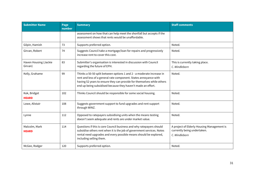| <b>Submitter Name</b>            | Page<br>number | <b>Summary</b>                                                                                                                                                                                                                                                                      | <b>Staff comments</b>                                                                      |
|----------------------------------|----------------|-------------------------------------------------------------------------------------------------------------------------------------------------------------------------------------------------------------------------------------------------------------------------------------|--------------------------------------------------------------------------------------------|
|                                  |                | assessment on how that can help meet the shortfall but accepts if the<br>assessment shows that rents would be unaffordable.                                                                                                                                                         |                                                                                            |
| Gilpin, Hamish                   | 73             | Supports preferred option.                                                                                                                                                                                                                                                          | Noted.                                                                                     |
| Girvan, Robert                   | 74             | Suggests Council take a mortgage/loan for repairs and progressively<br>increase rent to cover this cost.                                                                                                                                                                            | Noted.                                                                                     |
| Haven Housing (Jackie<br>Girvan) | 83             | Submitter's organisation is interested in discussion with Council<br>regarding the future of EPH.                                                                                                                                                                                   | This is currently taking place.<br>C. Windleborn                                           |
| Kelly, Grahame                   | 99             | Thinks a 50-50 split between options 1 and 2 - a moderate increase in<br>rent and less of a general rate component. States annoyance with<br>having 52 years to ensure they can provide for themselves while others<br>end up being subsidised because they haven't made an effort. | Noted.                                                                                     |
| Kok, Bridget<br><b>HEARD</b>     | 102            | Thinks Council should be responsible for some social housing.                                                                                                                                                                                                                       | Noted.                                                                                     |
| Lowe, Alistair                   | 108            | Suggests government support to fund upgrades and rent support<br>through WINZ.                                                                                                                                                                                                      | Noted.                                                                                     |
| Lynne                            | 112            | Opposed to ratepayers subsidising units when the means testing<br>doesn't seem adequate and rents are under market value.                                                                                                                                                           | Noted.                                                                                     |
| Malcolm, Mark<br><b>HEARD</b>    | 114            | Questions if this is core Council business and why ratepayers should<br>subsidise others rent when it is the job of government services. Notes<br>rental need upgrades and every possible means should be explored,<br>including selling them.                                      | A project of Elderly Housing Management is<br>currently being undertaken.<br>C. Windleborn |
| McGee, Rodger                    | 120            | Supports preferred option.                                                                                                                                                                                                                                                          | Noted.                                                                                     |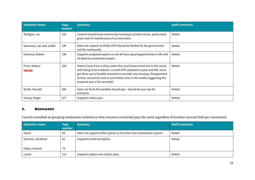| <b>Submitter Name</b>         | Page<br><b>number</b> | <b>Summary</b>                                                                                                                                                                                                                                                                                                                     | <b>Staff comments</b> |
|-------------------------------|-----------------------|------------------------------------------------------------------------------------------------------------------------------------------------------------------------------------------------------------------------------------------------------------------------------------------------------------------------------------|-----------------------|
| Mulligan, Lal                 | 142                   | Council should leave community housing to private sector, particularly<br>given lack of maintenance of current stock.                                                                                                                                                                                                              | Noted.                |
| Neumann, Ian and Judith       | 146                   | Does not support as thinks EPH should be funded by the government<br>not the community.                                                                                                                                                                                                                                            | Noted.                |
| Overend, Robert               | 149                   | Supports proposed option as not all have equal opportunities in life and<br>all deserve residential respect.                                                                                                                                                                                                                       | Noted.                |
| Price, Selwyn<br><b>HEARD</b> | 159                   | States Council has a duty under the Local Government Act to the social<br>well-being of all residents. Current EPH standard is poor and ADC must<br>get these up to liveable standard or provide new housing. Disappointed<br>to hear comments from a committee chair in the media suggesting the<br>proposal was a fait accompli. | Noted.                |
| Smith, Ronald                 | 206                   | Does not think the wealthy should pay - should be one rate for<br>everyone.                                                                                                                                                                                                                                                        | Noted.                |
| Vessey, Roger                 | 227                   | Supports status quo.                                                                                                                                                                                                                                                                                                               | Noted.                |

#### <span id="page-31-0"></span>4. Wastewater

Council consulted on grouping wastewater schemes so that everyone connected pays the same regardless of location (around \$420 per connection)

| <b>Submitter name</b>              | Page<br>number | <b>Summary</b>                                                     | <b>Staff Comments</b> |
|------------------------------------|----------------|--------------------------------------------------------------------|-----------------------|
| David                              | 59             | Does not support either option as has their own wastewater system. | Noted.                |
| Durham, Jonathan<br>Gilpin, Hamish | 62<br>73       | Supports preferred option.                                         | Noted.                |
| Lynne                              | 112            | Supports option one (status quo).                                  | Noted.                |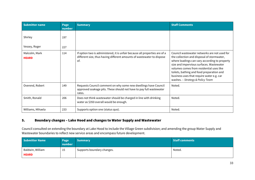| <b>Submitter name</b>         | Page<br>number | <b>Summary</b>                                                                                                                                               | <b>Staff Comments</b>                                                                                                                                                                                                                                                                                                                                             |
|-------------------------------|----------------|--------------------------------------------------------------------------------------------------------------------------------------------------------------|-------------------------------------------------------------------------------------------------------------------------------------------------------------------------------------------------------------------------------------------------------------------------------------------------------------------------------------------------------------------|
| Shirley                       | 197            |                                                                                                                                                              |                                                                                                                                                                                                                                                                                                                                                                   |
| Vessey, Roger                 | 227            |                                                                                                                                                              |                                                                                                                                                                                                                                                                                                                                                                   |
| Malcolm, Mark<br><b>HEARD</b> | 114            | If option two is administered, it is unfair because all properties are of a<br>different size, thus having different amounts of wastewater to dispose<br>of. | Council wastewater networks are not used for<br>the collection and disposal of stormwater,<br>where loadings can vary according to property<br>size and impervious surfaces. Wastewater<br>volumes comes from residential uses like<br>toilets, bathing and food preparation and<br>business uses that require water e.g. car<br>washes. - Strategy & Policy Team |
| Overend, Robert               | 149            | Requests Council comment on why some new dwellings have Council<br>approved soakage pits. These should not have to pay full wastewater<br>rates.             | Noted.                                                                                                                                                                                                                                                                                                                                                            |
| Smith, Ronald                 | 206            | Does not think wastewater should be charged in line with drinking<br>water as \$350 overall would be enough.                                                 | Noted.                                                                                                                                                                                                                                                                                                                                                            |
| Williams, Mihaela             | 233            | Supports option one (status quo).                                                                                                                            | Noted.                                                                                                                                                                                                                                                                                                                                                            |

#### <span id="page-32-0"></span>5. Boundary changes – Lake Hood and changes to Water Supply and Wastewater

Council consulted on extending the boundary at Lake Hood to include the Village Green subdivision; and amending the group Water Supply and Wastewater boundaries to reflect new service areas and encompass future development.

| <b>Submitter Name</b>            | Page<br>number | <b>Summary</b>             | <b>Staff comments</b> |
|----------------------------------|----------------|----------------------------|-----------------------|
| Baldwin, William<br><b>HEARD</b> | 15<br>ᅩ        | Supports boundary changes. | Noted.                |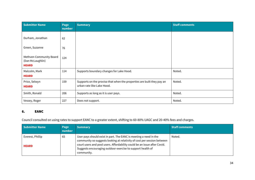| <b>Submitter Name</b>                                       | Page<br>number | <b>Summary</b>                                                                                       | <b>Staff comments</b> |
|-------------------------------------------------------------|----------------|------------------------------------------------------------------------------------------------------|-----------------------|
| Durham, Jonathan                                            | 62             |                                                                                                      |                       |
| Green, Suzanne                                              | 76             |                                                                                                      |                       |
| Methven Community Board<br>(Dan McLaughlin)<br><b>HEARD</b> | 124            |                                                                                                      |                       |
| Malcolm, Mark<br><b>HEARD</b>                               | 114            | Supports boundary changes for Lake Hood.                                                             | Noted.                |
| Price, Selwyn<br><b>HEARD</b>                               | 159            | Supports on the proviso that when the properties are built they pay an<br>urban rate like Lake Hood. | Noted.                |
| Smith, Ronald                                               | 206            | Supports as long as it is user pays.                                                                 | Noted.                |
| Vessey, Roger                                               | 227            | Does not support.                                                                                    | Noted.                |

#### <span id="page-33-0"></span>6. EANC

Council consulted on using rates to support EANC to a greater extent, shifting to 60-80% UAGC and 20-40% fees and charges.

| <b>Submitter Name</b>            | Page<br>number | <b>Summary</b>                                                                                                                                                                                                                                                                                       | <b>Staff comments</b> |
|----------------------------------|----------------|------------------------------------------------------------------------------------------------------------------------------------------------------------------------------------------------------------------------------------------------------------------------------------------------------|-----------------------|
| Everest, Phillip<br><b>HEARD</b> | 65             | User pays should exist in part. The EANC is meeting a need in the<br>community so suggests looking at relativity of cost per session between<br>court users and pool users. Affordability could be an issue after Covid.<br>Suggests encouraging outdoor exercise to support health of<br>community. | Noted.                |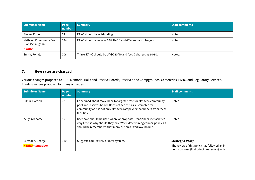| <b>Submitter Name</b>                                       | Page<br>number | <b>Summary</b>                                                | <b>Staff comments</b> |
|-------------------------------------------------------------|----------------|---------------------------------------------------------------|-----------------------|
| Girvan, Robert                                              | 74             | EANC should be self-funding.                                  | Noted.                |
| Methven Community Board<br>(Dan McLaughlin)<br><b>HEARD</b> | 124            | EANC should remain as 60% UAGC and 40% fees and charges.      | Noted.                |
| Smith, Ronald                                               | 206            | Thinks EANC should be UAGC 20/40 and fees & charges as 60/80. | Noted.                |

## <span id="page-34-0"></span>7. How rates are charged

Various changes proposed to EPH, Memorial Halls and Reserve Boards, Reserves and Campgrounds, Cemeteries, EANC, and Regulatory Services. Funding ranges proposed for many activities.

| <b>Submitter Name</b>    | Page<br>number | <b>Summary</b>                                                                                                                                                                                                             | <b>Staff comments</b>                                                                          |
|--------------------------|----------------|----------------------------------------------------------------------------------------------------------------------------------------------------------------------------------------------------------------------------|------------------------------------------------------------------------------------------------|
| Gilpin, Hamish           | 73             | Concerned about move back to targeted rate for Methven community<br>pool and reserves board. Does not see this as sustainable for<br>community as it is not only Methven ratepayers that benefit from these<br>facilities. | Noted.                                                                                         |
| Kelly, Grahame           | 99             | User pays should be used where appropriate. Pensioners use facilities<br>very little so why should they pay. When determining council policies it<br>should be remembered that many are on a fixed low income.             | Noted.                                                                                         |
| Lumsden, George          | 110            | Suggests a full review of rates system.                                                                                                                                                                                    | <b>Strategy &amp; Policy</b>                                                                   |
| <b>HEARD</b> (tentative) |                |                                                                                                                                                                                                                            | The review of this policy has followed an in-<br>depth process (first principles review) which |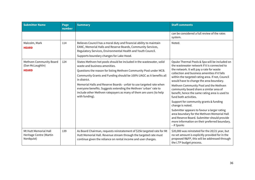| <b>Submitter Name</b>                                          | Page<br>number | <b>Summary</b>                                                                                                                                                                                                                                                                                                                                                                                                                                                                                           | <b>Staff comments</b>                                                                                                                                                                                                                                                                                                                                                                                                                                                                                                                                                                                                                                                                                                                |
|----------------------------------------------------------------|----------------|----------------------------------------------------------------------------------------------------------------------------------------------------------------------------------------------------------------------------------------------------------------------------------------------------------------------------------------------------------------------------------------------------------------------------------------------------------------------------------------------------------|--------------------------------------------------------------------------------------------------------------------------------------------------------------------------------------------------------------------------------------------------------------------------------------------------------------------------------------------------------------------------------------------------------------------------------------------------------------------------------------------------------------------------------------------------------------------------------------------------------------------------------------------------------------------------------------------------------------------------------------|
|                                                                |                |                                                                                                                                                                                                                                                                                                                                                                                                                                                                                                          | can be considered a full review of the rates<br>system.                                                                                                                                                                                                                                                                                                                                                                                                                                                                                                                                                                                                                                                                              |
| Malcolm, Mark<br><b>HEARD</b>                                  | 114            | Believes Council has a moral duty and financial ability to maintain<br>EANC, Memorial Halls and Reserve Boards, Community Services,<br>Regulatory Services, Environmental Health and Youth Council.<br>Supports boundary changes for Lake Hood.                                                                                                                                                                                                                                                          | Noted.                                                                                                                                                                                                                                                                                                                                                                                                                                                                                                                                                                                                                                                                                                                               |
| Methven Community Board<br>(Dan McLaughlin)<br><b>HEARD</b>    | 124            | States Methven hot pools should be included in the wastewater, solid<br>waste and business amenities.<br>Questions the reason for listing Methven Community Pool under MCB.<br>Community Grants and Funding should be 100% UAGC as it benefits all<br>in district.<br>Memorial Halls and Reserve Boards - unfair to use targeted rate when<br>everyone benefits. Suggests extending the Methven 'urban' rate to<br>include other Methven ratepayers as many of them are users (to help<br>with funding). | Opuke Thermal Pools & Spa will be included on<br>the wastewater network if it is connected to<br>the network. It will pay a rate for waste<br>collection and business amenities if it falls<br>within the targeted rating area. If not, Council<br>would have to change the area boundary.<br>Methven Community Pool and the Methven<br>community board share a similar area of<br>benefit, hence the same rating area is used to<br>fund both activities.<br>Support for community grants & funding<br>change is noted.<br>Submitter appears to favour a larger rating<br>area boundary for the Methven Memorial Hall<br>and Reserve Board. Submitter should provide<br>more information on their preferred boundary.<br>- R Sparks |
| Mt Hutt Memorial Hall<br>Heritage Centre (Martin<br>Nordquist) | 139            | As Board Chairman, requests reinstatement of \$25k targeted rate for Mt<br>Hutt Memorial Hall. Revenue stream through the targeted rate must<br>continue given the reliance on rental income and user charges.                                                                                                                                                                                                                                                                                           | \$20,000 was reinstated for the 20/21 year, but<br>no set amount is explicitly provided for in the<br>proposed R&FP, this will be addressed through<br>the LTP budget process.                                                                                                                                                                                                                                                                                                                                                                                                                                                                                                                                                       |